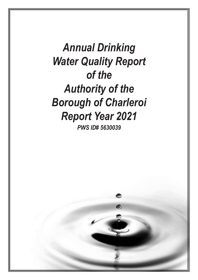*Annual Drinking Water Quality Report of the Authority of the Borough of Charleroi Report Year 2021 PWS ID# 5630039*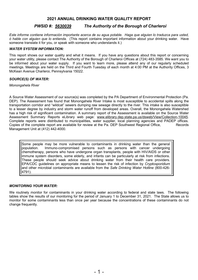# **2021 ANNUAL DRINKING WATER QUALITY REPORT**

# *PWSID #: 5630039 The Authority of the Borough of Charleroi*

*Este informe contiene información importante acerca de su agua potable. Haga que alguien lo traduzca para usted, ó hable con alguien que lo entienda.* (This report contains important information about your drinking water. Have someone translate it for you, or speak with someone who understands it.)

#### *WATER SYSTEM INFORMATION:*

This report shows our water quality and what it means. If you have any questions about this report or concerning your water utility, please contact The Authority of the Borough of Charleroi Offices at (724) 483-3585. We want you to be informed about your water supply. If you want to learn more, please attend any of our regularly scheduled meetings. Meetings are held on the Third and Fourth Tuesday of each month at 4:00 PM at the Authority Offices, 3 McKean Avenue Charleroi, Pennsylvania 15022.

### *SOURCE(S) OF WATER:*

*Monongahela River*

A Source Water Assessment of our source(s) was completed by the PA Department of Environmental Protection (Pa. DEP). The Assessment has found that Monongahela River Intake is most susceptible to accidental spills along the transportation corridor and "wildcat" sewers dumping raw sewage directly to the river. This intake is also susceptible to a lesser degree by industry and storm water runoff from developed areas. Overall, the Monongahela Watershed has a high risk of significant contamination. A summary report of the Assessment is available on the Source Water Assessment Summary Reports eLibrary web page: www.elibrary.dep.state.pa.us/dsweb/View/Collection-10045. Complete reports were distributed to municipalities, water supplier, local planning agencies and PADEP offices. Copies of the complete report are available for review at the Pa. DEP Southwest Regional Office, Records Management Unit at (412) 442-4000.

Some people may be more vulnerable to contaminants in drinking water than the general<br>population. Immuno-compromised persons such as persons with cancer undergoing Immuno-compromised persons such as persons with cancer undergoing chemotherapy, persons who have undergone organ transplants, people with HIV/AIDS or other immune system disorders, some elderly, and infants can be particularly at risk from infections. These people should seek advice about drinking water from their health care providers. EPA/CDC guidelines on appropriate means to lessen the risk of infection by *Cryptosporidium* and other microbial contaminants are available from the *Safe Drinking Water Hotline* (800-426- 4791).

## *MONITORING YOUR WATER:*

We routinely monitor for contaminants in your drinking water according to federal and state laws. The following tables show the results of our monitoring for the period of January 1 to December 31, 2021. The State allows us to monitor for some contaminants less than once per year because the concentrations of these contaminants do not change frequently.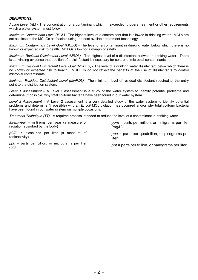### *DEFINITIONS:*

*Action Level (AL)* **-** The concentration of a contaminant which, if exceeded, triggers treatment or other requirements which a water system must follow.

*Maximum Contaminant Level (MCL)* - The highest level of a contaminant that is allowed in drinking water. MCLs are set as close to the MCLGs as feasible using the best available treatment technology.

*Maximum Contaminant Level Goal (MCLG)* - The level of a contaminant in drinking water below which there is no known or expected risk to health. MCLGs allow for a margin of safety.

*Maximum Residual Disinfectant Level (MRDL)* - The highest level of a disinfectant allowed in drinking water. There is convincing evidence that addition of a disinfectant is necessary for control of microbial contaminants.

*Maximum Residual Disinfectant Level Goal (MRDLG)* - The level of a drinking water disinfectant below which there is no known or expected risk to health. MRDLGs do not reflect the benefits of the use of disinfectants to control microbial contaminants.

*Minimum Residual Disinfectant Level (MinRDL) -* The minimum level of residual disinfectant required at the entry point to the distribution system.

*Level 1 Assessment –* A Level 1 assessment is a study of the water system to identify potential problems and determine (if possible) why total coliform bacteria have been found in our water system.

*Level 2 Assessment –* A Level 2 assessment is a very detailed study of the water system to identify potential problems and determine (if possible) why an *E. coli* MCL violation has occurred and/or why total coliform bacteria have been found in our water system on multiple occasions.

*Treatment Technique (TT) -* A required process intended to reduce the level of a contaminant in drinking water.

*Mrem/year =* millirems per year (a measure of radiation absorbed by the body)

*pCi/L =* picocuries per liter (a measure of radioactivity)

*ppb* = parts per billion, or micrograms per liter (μg/L)

*ppm* = parts per million, or milligrams per liter (mg/L)

*ppq* = parts per quadrillion, or picograms per liter

*ppt* = parts per trillion, or nanograms per liter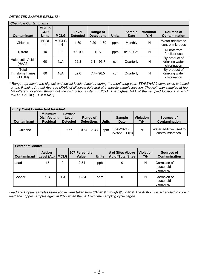## *DETECTED SAMPLE RESULTS:*

| <b>Chemical Contaminants</b>       |                                             |                       |                          |                               |              |                       |                         |                                                 |
|------------------------------------|---------------------------------------------|-----------------------|--------------------------|-------------------------------|--------------|-----------------------|-------------------------|-------------------------------------------------|
| Contaminant                        | <b>MCL</b> in<br><b>CCR</b><br><b>Units</b> | <b>MCLG</b>           | Level<br><b>Detected</b> | Range of<br><b>Detections</b> | <b>Units</b> | <b>Sample</b><br>Date | <b>Violation</b><br>Y/N | Sources of<br>Contamination                     |
| Chlorine                           | <b>MRDL</b><br>$= 4$                        | <b>MRDLG</b><br>$= 4$ | 1.69                     | $0.20 - 1.69$                 | ppm          | Monthly               | N                       | Water additive to<br>control microbes           |
| Nitrate                            | 10                                          | 10                    | < 1.00                   | N/A                           | ppm          | 8/18/2021             | N                       | Runoff from<br>fertilizer use                   |
| Haloacetic Acids<br>(HAA5)         | 60                                          | N/A                   | 52.3                     | $2.1 - 93.7$                  | ccr          | Quarterly             | N                       | By-product of<br>drinking water<br>chlorination |
| Total<br>Trihalomethanes<br>(TTHM) | 80                                          | N/A                   | 62.6                     | $7.4 - 96.5$                  | ccr          | Quarterly             | N                       | By-product of<br>drinking water<br>chlorination |

*\* Range represents the highest and lowest levels detected during the monitoring year. TTHM/HAA5 compliance is based on the Running Annual Average (RAA) of all levels detected at a specific sample location. The Authority sampled at four (4) different locations throughout the distribution system in 2021. The highest RAA of the sampled locations in 2021: (HAA5 = 52.3) (TTHM = 62.6).*

| <b>Entry Point Disinfectant Residual</b> |                                                          |                                    |                               |              |                                |                         |                                             |  |
|------------------------------------------|----------------------------------------------------------|------------------------------------|-------------------------------|--------------|--------------------------------|-------------------------|---------------------------------------------|--|
| Contaminant                              | <b>Minimum</b><br><b>Disinfectant</b><br><b>Residual</b> | Lowest<br>Level<br><b>Detected</b> | Range of<br><b>Detections</b> | <b>Units</b> | <b>Sample</b><br>Date          | <b>Violation</b><br>Y/N | Sources of<br>Contamination                 |  |
| Chlorine                                 | 0.2                                                      | 0.57                               | $0.57 - 2.33$                 | ppm          | 5/26/2021 (L)<br>5/25/2021 (H) | N                       | Water additive used to<br>control microbes. |  |

| <b>Lead and Copper</b> |                             |             |                                      |              |                                              |                         |                                        |  |
|------------------------|-----------------------------|-------------|--------------------------------------|--------------|----------------------------------------------|-------------------------|----------------------------------------|--|
| Contaminant            | <b>Action</b><br>Level (AL) | <b>MCLG</b> | 90 <sup>th</sup> Percentile<br>Value | <b>Units</b> | # of Sites Above<br><b>AL of Total Sites</b> | <b>Violation</b><br>Y/N | Sources of<br>Contamination            |  |
| Lead                   | 15                          | 0           | 2.51                                 | ppb          | 0                                            | N                       | Corrosion of<br>household<br>plumbing. |  |
| Copper                 | 1.3                         | 1.3         | 0.234                                | ppm          | 0                                            | N                       | Corrosion of<br>household<br>plumbing. |  |

*Lead and Copper samples listed above were taken from 6/1/2019 through 9/30/2019. The Authority is scheduled to collect lead and copper samples again in 2022 when the next required sampling cycle begins.*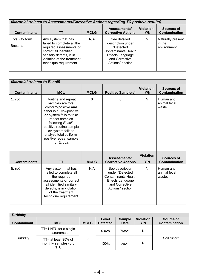| Microbial (related to Assessments/Corrective Actions regarding TC positive results) |                                                                                                                                                                                          |             |                                                                                                                                        |                         |                                             |  |  |  |
|-------------------------------------------------------------------------------------|------------------------------------------------------------------------------------------------------------------------------------------------------------------------------------------|-------------|----------------------------------------------------------------------------------------------------------------------------------------|-------------------------|---------------------------------------------|--|--|--|
| <b>Contaminants</b>                                                                 | TΤ                                                                                                                                                                                       | <b>MCLG</b> | Assessments/<br><b>Corrective Actions</b>                                                                                              | <b>Violation</b><br>Y/N | Sources of<br>Contamination                 |  |  |  |
| <b>Total Coliform</b><br>Bacteria                                                   | Any system that has<br>failed to complete all the<br>required assessments or<br>correct all identified<br>sanitary defects, is in<br>violation of the treatment<br>technique requirement | N/A         | See detailed<br>description under<br>"Detected<br><b>Contaminants Health</b><br>Effects Language<br>and Corrective<br>Actions" section | N                       | Naturally present<br>in the<br>environment. |  |  |  |

|                     | Microbial (related to E. coli)                                                                                                                                                                                                                                                          |             |                                                                                                                            |                         |                                     |  |  |  |  |
|---------------------|-----------------------------------------------------------------------------------------------------------------------------------------------------------------------------------------------------------------------------------------------------------------------------------------|-------------|----------------------------------------------------------------------------------------------------------------------------|-------------------------|-------------------------------------|--|--|--|--|
| <b>Contaminants</b> | <b>MCL</b>                                                                                                                                                                                                                                                                              | <b>MCLG</b> | <b>Positive Sample(s)</b>                                                                                                  | <b>Violation</b><br>Y/N | Sources of<br>Contamination         |  |  |  |  |
| E. coli             | Routine and repeat<br>samples are total<br>coliform-positive and<br>either is E. coli-positive<br>or system fails to take<br>repeat samples<br>following E. coli-<br>positive routine sample<br>or system fails to<br>analyze total coliform-<br>positive repeat sample<br>for E. coli. | $\Omega$    | 0                                                                                                                          | N                       | Human and<br>animal fecal<br>waste. |  |  |  |  |
| <b>Contaminants</b> | ТT                                                                                                                                                                                                                                                                                      | <b>MCLG</b> | Assessments/<br><b>Corrective Actions</b>                                                                                  | <b>Violation</b><br>Y/N | Sources of<br>Contamination         |  |  |  |  |
| E. coli             | Any system that has<br>failed to complete all<br>the required<br>assessments or correct<br>all identified sanitary<br>defects, is in violation<br>of the treatment<br>technique requirement                                                                                             | N/A         | See description<br>under "Detected<br><b>Contaminants Health</b><br>Effects Language<br>and Corrective<br>Actions" section | N                       | Human and<br>animal fecal<br>waste. |  |  |  |  |

| <b>Turbidity</b>   |                                                      |             |                          |                              |                         |                            |  |  |  |
|--------------------|------------------------------------------------------|-------------|--------------------------|------------------------------|-------------------------|----------------------------|--|--|--|
| <b>Contaminant</b> | <b>MCL</b>                                           | <b>MCLG</b> | Level<br><b>Detected</b> | <b>Sample</b><br><b>Date</b> | <b>Violation</b><br>Y/N | Source of<br>Contamination |  |  |  |
| Turbidity          | $TT = 1 NTU$ for a single<br>measurement             |             | 0.028                    | 7/3/21                       | N                       | Soil runoff                |  |  |  |
|                    | $TT = at least 95%$ of<br>monthly samples<0.3<br>NTU | 0           | 100%                     | 2021                         | N                       |                            |  |  |  |